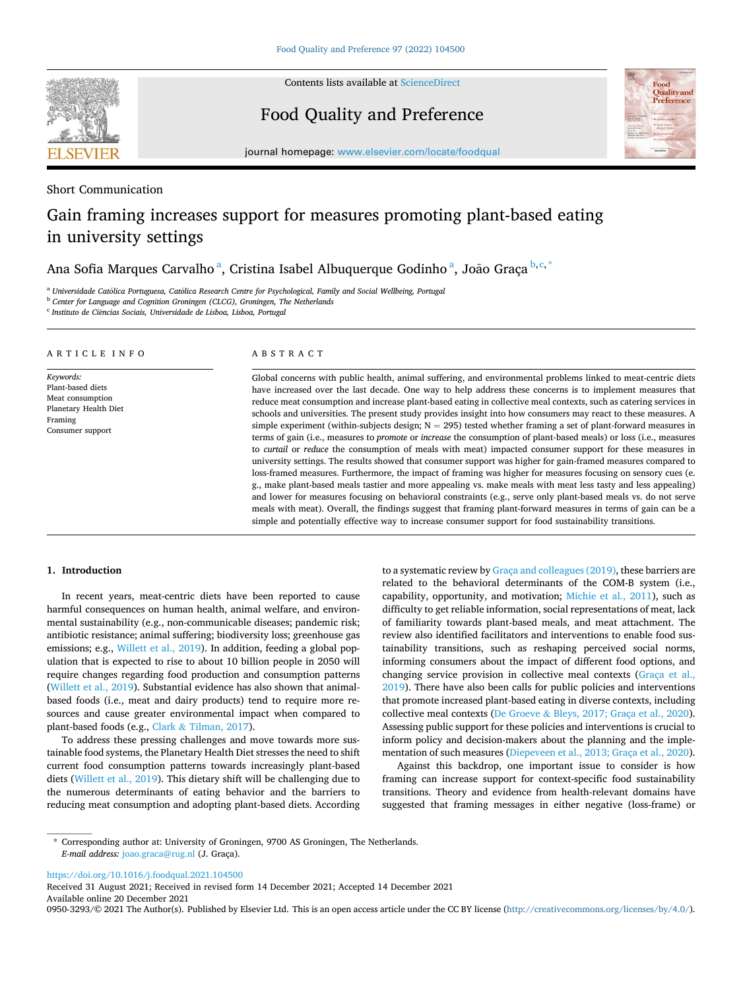

Contents lists available at [ScienceDirect](www.sciencedirect.com/science/journal/09503293)

Food Quality and Preference



journal homepage: [www.elsevier.com/locate/foodqual](https://www.elsevier.com/locate/foodqual)

# Short Communication

# Gain framing increases support for measures promoting plant-based eating in university settings

Ana Sofia Marques Carvalho<sup>a</sup>, Cristina Isabel Albuquerque Godinho<sup>a</sup>, João Graça<sup>b, e, \*</sup>

<sup>a</sup> Universidade Católica Portuguesa, Católica Research Centre for Psychological, Family and Social Wellbeing, Portugal <sup>b</sup> *Center for Language and Cognition Groningen (CLCG), Groningen, The Netherlands* 

<sup>c</sup> Instituto de Ciências Sociais, Universidade de Lisboa, Lisboa, Portugal

# ARTICLE INFO

#### *Keywords:*  Plant-based diets Meat consumption Planetary Health Diet Framing Consumer support

# ABSTRACT

Global concerns with public health, animal suffering, and environmental problems linked to meat-centric diets have increased over the last decade. One way to help address these concerns is to implement measures that reduce meat consumption and increase plant-based eating in collective meal contexts, such as catering services in schools and universities. The present study provides insight into how consumers may react to these measures. A simple experiment (within-subjects design;  $N = 295$ ) tested whether framing a set of plant-forward measures in terms of gain (i.e., measures to *promote* or *increase* the consumption of plant-based meals) or loss (i.e., measures to *curtail* or *reduce* the consumption of meals with meat) impacted consumer support for these measures in university settings. The results showed that consumer support was higher for gain-framed measures compared to loss-framed measures. Furthermore, the impact of framing was higher for measures focusing on sensory cues (e. g., make plant-based meals tastier and more appealing vs. make meals with meat less tasty and less appealing) and lower for measures focusing on behavioral constraints (e.g., serve only plant-based meals vs. do not serve meals with meat). Overall, the findings suggest that framing plant-forward measures in terms of gain can be a simple and potentially effective way to increase consumer support for food sustainability transitions.

## **1. Introduction**

In recent years, meat-centric diets have been reported to cause harmful consequences on human health, animal welfare, and environmental sustainability (e.g., non-communicable diseases; pandemic risk; antibiotic resistance; animal suffering; biodiversity loss; greenhouse gas emissions; e.g., [Willett et al., 2019](#page-3-0)). In addition, feeding a global population that is expected to rise to about 10 billion people in 2050 will require changes regarding food production and consumption patterns ([Willett et al., 2019](#page-3-0)). Substantial evidence has also shown that animalbased foods (i.e., meat and dairy products) tend to require more resources and cause greater environmental impact when compared to plant-based foods (e.g., Clark & [Tilman, 2017](#page-3-0)).

To address these pressing challenges and move towards more sustainable food systems, the Planetary Health Diet stresses the need to shift current food consumption patterns towards increasingly plant-based diets ([Willett et al., 2019](#page-3-0)). This dietary shift will be challenging due to the numerous determinants of eating behavior and the barriers to reducing meat consumption and adopting plant-based diets. According

to a systematic review by [Graça and colleagues \(2019\),](#page-3-0) these barriers are related to the behavioral determinants of the COM-B system (i.e., capability, opportunity, and motivation; [Michie et al., 2011\)](#page-3-0), such as difficulty to get reliable information, social representations of meat, lack of familiarity towards plant-based meals, and meat attachment. The review also identified facilitators and interventions to enable food sustainability transitions, such as reshaping perceived social norms, informing consumers about the impact of different food options, and changing service provision in collective meal contexts [\(Graça et al.,](#page-3-0)  [2019\)](#page-3-0). There have also been calls for public policies and interventions that promote increased plant-based eating in diverse contexts, including collective meal contexts (De Groeve & [Bleys, 2017; Graça et al., 2020](#page-3-0)). Assessing public support for these policies and interventions is crucial to inform policy and decision-makers about the planning and the implementation of such measures ([Diepeveen et al., 2013; Graça et al., 2020](#page-3-0)).

Against this backdrop, one important issue to consider is how framing can increase support for context-specific food sustainability transitions. Theory and evidence from health-relevant domains have suggested that framing messages in either negative (loss-frame) or

<https://doi.org/10.1016/j.foodqual.2021.104500>

Available online 20 December 2021 Received 31 August 2021; Received in revised form 14 December 2021; Accepted 14 December 2021

0950-3293/© 2021 The Author(s). Published by Elsevier Ltd. This is an open access article under the CC BY license [\(http://creativecommons.org/licenses/by/4.0/\)](http://creativecommons.org/licenses/by/4.0/).

<sup>\*</sup> Corresponding author at: University of Groningen, 9700 AS Groningen, The Netherlands. *E-mail address:* [joao.graca@rug.nl](mailto:joao.graca@rug.nl) (J. Graça).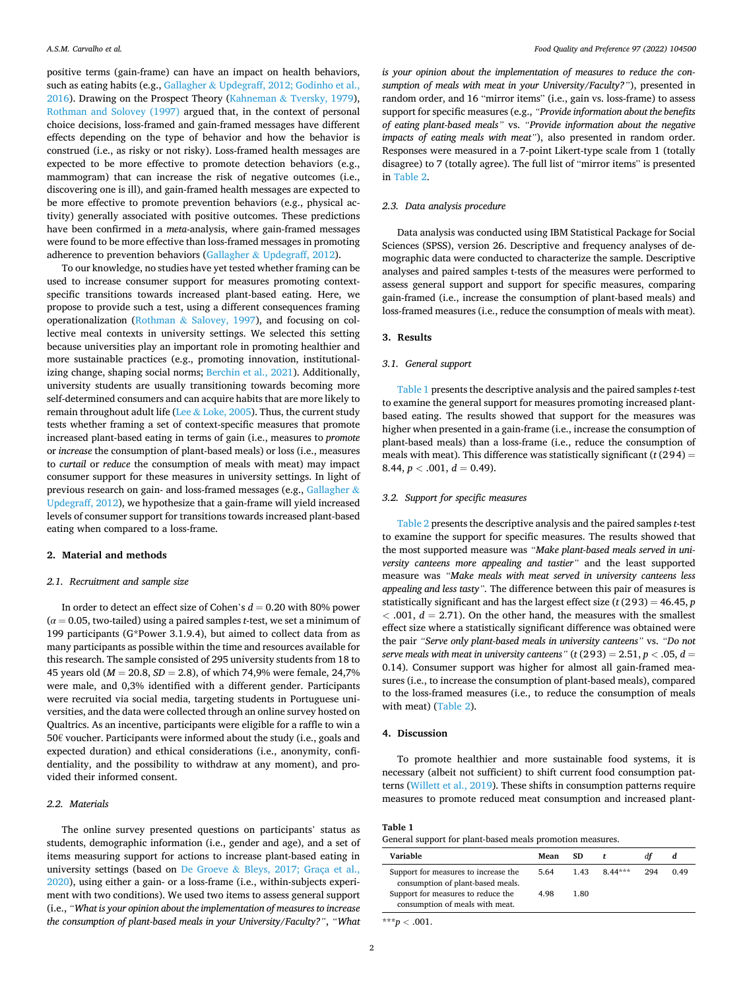positive terms (gain-frame) can have an impact on health behaviors, such as eating habits (e.g., Gallagher & [Updegraff, 2012; Godinho et al.,](#page-3-0)  [2016\)](#page-3-0). Drawing on the Prospect Theory (Kahneman & [Tversky, 1979](#page-3-0)), [Rothman and Solovey \(1997\)](#page-3-0) argued that, in the context of personal choice decisions, loss-framed and gain-framed messages have different effects depending on the type of behavior and how the behavior is construed (i.e., as risky or not risky). Loss-framed health messages are expected to be more effective to promote detection behaviors (e.g., mammogram) that can increase the risk of negative outcomes (i.e., discovering one is ill), and gain-framed health messages are expected to be more effective to promote prevention behaviors (e.g., physical activity) generally associated with positive outcomes. These predictions have been confirmed in a *meta*-analysis, where gain-framed messages were found to be more effective than loss-framed messages in promoting adherence to prevention behaviors (Gallagher & [Updegraff, 2012\)](#page-3-0).

To our knowledge, no studies have yet tested whether framing can be used to increase consumer support for measures promoting contextspecific transitions towards increased plant-based eating. Here, we propose to provide such a test, using a different consequences framing operationalization (Rothman & [Salovey, 1997\)](#page-3-0), and focusing on collective meal contexts in university settings. We selected this setting because universities play an important role in promoting healthier and more sustainable practices (e.g., promoting innovation, institutionalizing change, shaping social norms; [Berchin et al., 2021](#page-3-0)). Additionally, university students are usually transitioning towards becoming more self-determined consumers and can acquire habits that are more likely to remain throughout adult life (Lee  $\&$  [Loke, 2005](#page-3-0)). Thus, the current study tests whether framing a set of context-specific measures that promote increased plant-based eating in terms of gain (i.e., measures to *promote*  or *increase* the consumption of plant-based meals) or loss (i.e., measures to *curtail* or *reduce* the consumption of meals with meat) may impact consumer support for these measures in university settings. In light of previous research on gain- and loss-framed messages (e.g., [Gallagher](#page-3-0) & [Updegraff, 2012\)](#page-3-0), we hypothesize that a gain-frame will yield increased levels of consumer support for transitions towards increased plant-based eating when compared to a loss-frame.

#### **2. Material and methods**

## *2.1. Recruitment and sample size*

In order to detect an effect size of Cohen's *d* = 0.20 with 80% power (*α* = 0.05, two-tailed) using a paired samples *t*-test, we set a minimum of 199 participants (G\*Power 3.1.9.4), but aimed to collect data from as many participants as possible within the time and resources available for this research. The sample consisted of 295 university students from 18 to 45 years old (*M* = 20.8, *SD* = 2.8), of which 74,9% were female, 24,7% were male, and 0,3% identified with a different gender. Participants were recruited via social media, targeting students in Portuguese universities, and the data were collected through an online survey hosted on Qualtrics. As an incentive, participants were eligible for a raffle to win a 50€ voucher. Participants were informed about the study (i.e., goals and expected duration) and ethical considerations (i.e., anonymity, confidentiality, and the possibility to withdraw at any moment), and provided their informed consent.

### *2.2. Materials*

The online survey presented questions on participants' status as students, demographic information (i.e., gender and age), and a set of items measuring support for actions to increase plant-based eating in university settings (based on De Groeve & [Bleys, 2017; Graça et al.,](#page-3-0)  [2020\)](#page-3-0), using either a gain- or a loss-frame (i.e., within-subjects experiment with two conditions). We used two items to assess general support (i.e., *"What is your opinion about the implementation of measures to increase the consumption of plant-based meals in your University/Faculty?"*, *"What*  *is your opinion about the implementation of measures to reduce the consumption of meals with meat in your University/Faculty?"*), presented in random order, and 16 "mirror items" (i.e., gain vs. loss-frame) to assess support for specific measures (e.g., *"Provide information about the benefits of eating plant-based meals"* vs. *"Provide information about the negative impacts of eating meals with meat"*), also presented in random order. Responses were measured in a 7-point Likert-type scale from 1 (totally disagree) to 7 (totally agree). The full list of "mirror items" is presented in [Table 2](#page-2-0).

### *2.3. Data analysis procedure*

Data analysis was conducted using IBM Statistical Package for Social Sciences (SPSS), version 26. Descriptive and frequency analyses of demographic data were conducted to characterize the sample. Descriptive analyses and paired samples t-tests of the measures were performed to assess general support and support for specific measures, comparing gain-framed (i.e., increase the consumption of plant-based meals) and loss-framed measures (i.e., reduce the consumption of meals with meat).

# **3. Results**

## *3.1. General support*

Table 1 presents the descriptive analysis and the paired samples *t*-test to examine the general support for measures promoting increased plantbased eating. The results showed that support for the measures was higher when presented in a gain-frame (i.e., increase the consumption of plant-based meals) than a loss-frame (i.e., reduce the consumption of meals with meat). This difference was statistically significant  $(t(294) =$  $8.44, p < .001, d = 0.49$ .

## *3.2. Support for specific measures*

[Table 2](#page-2-0) presents the descriptive analysis and the paired samples *t*-test to examine the support for specific measures. The results showed that the most supported measure was *"Make plant-based meals served in university canteens more appealing and tastier"* and the least supported measure was *"Make meals with meat served in university canteens less appealing and less tasty".* The difference between this pair of measures is statistically significant and has the largest effect size (*t* (293) = 46.45, *p*   $<$  .001,  $d = 2.71$ ). On the other hand, the measures with the smallest effect size where a statistically significant difference was obtained were the pair *"Serve only plant-based meals in university canteens"* vs. *"Do not serve meals with meat in university canteens*<sup>*"*</sup> ( $t$  (293) = 2.51,  $p$  < .05,  $d$  = 0.14). Consumer support was higher for almost all gain-framed measures (i.e., to increase the consumption of plant-based meals), compared to the loss-framed measures (i.e., to reduce the consumption of meals with meat) ([Table 2](#page-2-0)).

## **4. Discussion**

To promote healthier and more sustainable food systems, it is necessary (albeit not sufficient) to shift current food consumption patterns [\(Willett et al., 2019\)](#page-3-0). These shifts in consumption patterns require measures to promote reduced meat consumption and increased plant-

#### **Table 1**

General support for plant-based meals promotion measures.

| Variable                                                                  | Mean | SD.  |           | dt  | a    |
|---------------------------------------------------------------------------|------|------|-----------|-----|------|
| Support for measures to increase the<br>consumption of plant-based meals. | 5.64 | 1.43 | $8.44***$ | 294 | 0.49 |
| Support for measures to reduce the<br>consumption of meals with meat.     | 4.98 | 1.80 |           |     |      |

 $***p<.001$ .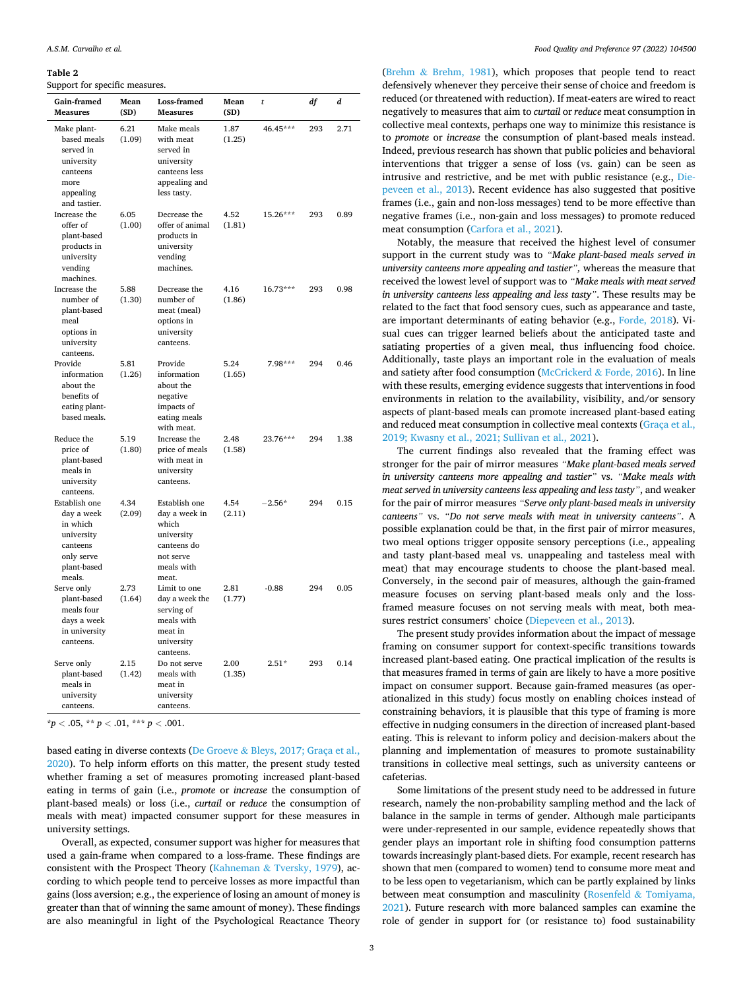#### <span id="page-2-0"></span>**Table 2**

Support for specific measures.

| Gain-framed<br><b>Measures</b>                                                                           | Mean<br>(SD)   | Loss-framed<br><b>Measures</b>                                                                           | Mean<br>(SD)   | t        | df  | d    |
|----------------------------------------------------------------------------------------------------------|----------------|----------------------------------------------------------------------------------------------------------|----------------|----------|-----|------|
| Make plant-<br>based meals<br>served in<br>university<br>canteens<br>more<br>appealing<br>and tastier.   | 6.21<br>(1.09) | Make meals<br>with meat<br>served in<br>university<br>canteens less<br>appealing and<br>less tasty.      | 1.87<br>(1.25) | 46.45*** | 293 | 2.71 |
| Increase the<br>offer of<br>plant-based<br>products in<br>university<br>vending<br>machines.             | 6.05<br>(1.00) | Decrease the<br>offer of animal<br>products in<br>university<br>vending<br>machines.                     | 4.52<br>(1.81) | 15.26*** | 293 | 0.89 |
| Increase the<br>number of<br>plant-based<br>meal<br>options in<br>university<br>canteens.                | 5.88<br>(1.30) | Decrease the<br>number of<br>meat (meal)<br>options in<br>university<br>canteens.                        | 4.16<br>(1.86) | 16.73*** | 293 | 0.98 |
| Provide<br>information<br>about the<br>benefits of<br>eating plant-<br>based meals.                      | 5.81<br>(1.26) | Provide<br>information<br>about the<br>negative<br>impacts of<br>eating meals<br>with meat.              | 5.24<br>(1.65) | 7.98***  | 294 | 0.46 |
| Reduce the<br>price of<br>plant-based<br>meals in<br>university<br>canteens.                             | 5.19<br>(1.80) | Increase the<br>price of meals<br>with meat in<br>university<br>canteens.                                | 2.48<br>(1.58) | 23.76*** | 294 | 1.38 |
| Establish one<br>day a week<br>in which<br>university<br>canteens<br>only serve<br>plant-based<br>meals. | 4.34<br>(2.09) | Establish one<br>day a week in<br>which<br>university<br>canteens do<br>not serve<br>meals with<br>meat. | 4.54<br>(2.11) | $-2.56*$ | 294 | 0.15 |
| Serve only<br>plant-based<br>meals four<br>days a week<br>in university<br>canteens.                     | 2.73<br>(1.64) | Limit to one<br>day a week the<br>serving of<br>meals with<br>meat in<br>university<br>canteens.         | 2.81<br>(1.77) | $-0.88$  | 294 | 0.05 |
| Serve only<br>plant-based<br>meals in<br>university<br>canteens.                                         | 2.15<br>(1.42) | Do not serve<br>meals with<br>meat in<br>university<br>canteens.                                         | 2.00<br>(1.35) | $2.51*$  | 293 | 0.14 |

 $* p < .05, ** p < .01, ** p < .001.$ 

based eating in diverse contexts (De Groeve & [Bleys, 2017; Graça et al.,](#page-3-0)  [2020\)](#page-3-0). To help inform efforts on this matter, the present study tested whether framing a set of measures promoting increased plant-based eating in terms of gain (i.e., *promote* or *increase* the consumption of plant-based meals) or loss (i.e., *curtail* or *reduce* the consumption of meals with meat) impacted consumer support for these measures in university settings.

Overall, as expected, consumer support was higher for measures that used a gain-frame when compared to a loss-frame. These findings are consistent with the Prospect Theory (Kahneman & [Tversky, 1979](#page-3-0)), according to which people tend to perceive losses as more impactful than gains (loss aversion; e.g., the experience of losing an amount of money is greater than that of winning the same amount of money). These findings are also meaningful in light of the Psychological Reactance Theory

(Brehm & [Brehm, 1981](#page-3-0)), which proposes that people tend to react defensively whenever they perceive their sense of choice and freedom is reduced (or threatened with reduction). If meat-eaters are wired to react negatively to measures that aim to *curtail* or *reduce* meat consumption in collective meal contexts, perhaps one way to minimize this resistance is to *promote* or *increase* the consumption of plant-based meals instead. Indeed, previous research has shown that public policies and behavioral interventions that trigger a sense of loss (vs. gain) can be seen as intrusive and restrictive, and be met with public resistance (e.g., [Die](#page-3-0)[peveen et al., 2013\)](#page-3-0). Recent evidence has also suggested that positive frames (i.e., gain and non-loss messages) tend to be more effective than negative frames (i.e., non-gain and loss messages) to promote reduced meat consumption [\(Carfora et al., 2021](#page-3-0)).

Notably, the measure that received the highest level of consumer support in the current study was to *"Make plant-based meals served in university canteens more appealing and tastier",* whereas the measure that received the lowest level of support was to *"Make meals with meat served in university canteens less appealing and less tasty"*. These results may be related to the fact that food sensory cues, such as appearance and taste, are important determinants of eating behavior (e.g., [Forde, 2018](#page-3-0)). Visual cues can trigger learned beliefs about the anticipated taste and satiating properties of a given meal, thus influencing food choice. Additionally, taste plays an important role in the evaluation of meals and satiety after food consumption [\(McCrickerd](#page-3-0) & Forde, 2016). In line with these results, emerging evidence suggests that interventions in food environments in relation to the availability, visibility, and/or sensory aspects of plant-based meals can promote increased plant-based eating and reduced meat consumption in collective meal contexts ([Graça et al.,](#page-3-0)  [2019; Kwasny et al., 2021; Sullivan et al., 2021\)](#page-3-0).

The current findings also revealed that the framing effect was stronger for the pair of mirror measures *"Make plant-based meals served in university canteens more appealing and tastier"* vs. *"Make meals with meat served in university canteens less appealing and less tasty"*, and weaker for the pair of mirror measures *"Serve only plant-based meals in university canteens"* vs. *"Do not serve meals with meat in university canteens"*. A possible explanation could be that, in the first pair of mirror measures, two meal options trigger opposite sensory perceptions (i.e., appealing and tasty plant-based meal vs. unappealing and tasteless meal with meat) that may encourage students to choose the plant-based meal. Conversely, in the second pair of measures, although the gain-framed measure focuses on serving plant-based meals only and the lossframed measure focuses on not serving meals with meat, both measures restrict consumers' choice [\(Diepeveen et al., 2013\)](#page-3-0).

The present study provides information about the impact of message framing on consumer support for context-specific transitions towards increased plant-based eating. One practical implication of the results is that measures framed in terms of gain are likely to have a more positive impact on consumer support. Because gain-framed measures (as operationalized in this study) focus mostly on enabling choices instead of constraining behaviors, it is plausible that this type of framing is more effective in nudging consumers in the direction of increased plant-based eating. This is relevant to inform policy and decision-makers about the planning and implementation of measures to promote sustainability transitions in collective meal settings, such as university canteens or cafeterias.

Some limitations of the present study need to be addressed in future research, namely the non-probability sampling method and the lack of balance in the sample in terms of gender. Although male participants were under-represented in our sample, evidence repeatedly shows that gender plays an important role in shifting food consumption patterns towards increasingly plant-based diets. For example, recent research has shown that men (compared to women) tend to consume more meat and to be less open to vegetarianism, which can be partly explained by links between meat consumption and masculinity (Rosenfeld & [Tomiyama,](#page-3-0)  [2021\)](#page-3-0). Future research with more balanced samples can examine the role of gender in support for (or resistance to) food sustainability